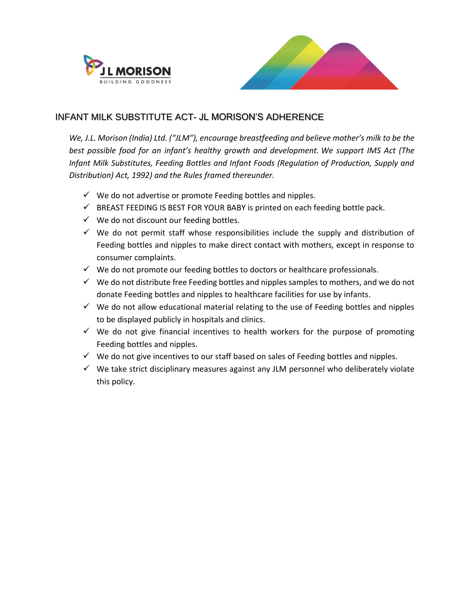



## INFANT MILK SUBSTITUTE ACT- JL MORISON'S ADHERENCE

*We, J.L. Morison (India) Ltd. ("JLM"), encourage breastfeeding and believe mother's milk to be the best possible food for an infant's healthy growth and development. We support IMS Act (The Infant Milk Substitutes, Feeding Bottles and Infant Foods (Regulation of Production, Supply and Distribution) Act, 1992) and the Rules framed thereunder.* 

- $\checkmark$  We do not advertise or promote Feeding bottles and nipples.
- $\checkmark$  BREAST FEEDING IS BEST FOR YOUR BABY is printed on each feeding bottle pack.
- $\checkmark$  We do not discount our feeding bottles.
- $\checkmark$  We do not permit staff whose responsibilities include the supply and distribution of Feeding bottles and nipples to make direct contact with mothers, except in response to consumer complaints.
- $\checkmark$  We do not promote our feeding bottles to doctors or healthcare professionals.
- $\checkmark$  We do not distribute free Feeding bottles and nipples samples to mothers, and we do not donate Feeding bottles and nipples to healthcare facilities for use by infants.
- $\checkmark$  We do not allow educational material relating to the use of Feeding bottles and nipples to be displayed publicly in hospitals and clinics.
- $\checkmark$  We do not give financial incentives to health workers for the purpose of promoting Feeding bottles and nipples.
- $\checkmark$  We do not give incentives to our staff based on sales of Feeding bottles and nipples.
- $\checkmark$  We take strict disciplinary measures against any JLM personnel who deliberately violate this policy.